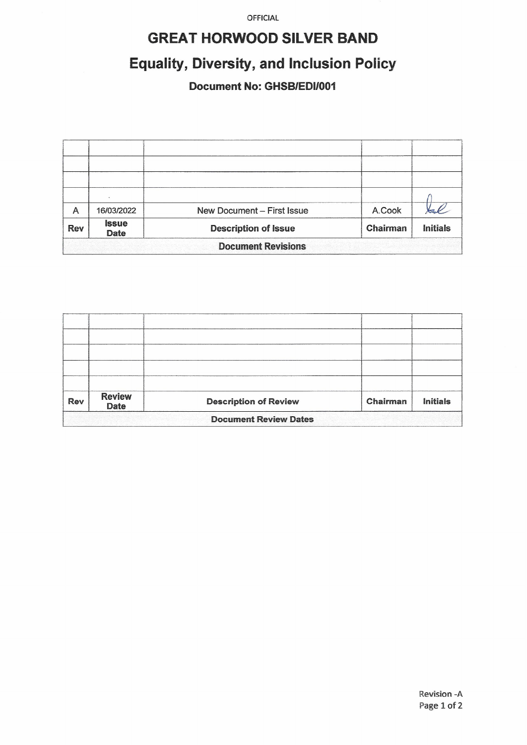OFFICIAL

### **GREAT HORWOOD SILVER BAND**

# **Equality, Diversity, and Inclusion Policy**

#### Document No: GHSB/EDI/001

| A                         | 16/03/2022                  | New Document - First Issue  | A.Cook   |                 |  |  |
|---------------------------|-----------------------------|-----------------------------|----------|-----------------|--|--|
| <b>Rev</b>                | <b>Issue</b><br><b>Date</b> | <b>Description of Issue</b> | Chairman | <b>Initials</b> |  |  |
| <b>Document Revisions</b> |                             |                             |          |                 |  |  |

| Rev                          | <b>Review</b><br><b>Date</b> | <b>Description of Review</b> | Chairman | <b>Initials</b> |  |  |
|------------------------------|------------------------------|------------------------------|----------|-----------------|--|--|
| <b>Document Review Dates</b> |                              |                              |          |                 |  |  |